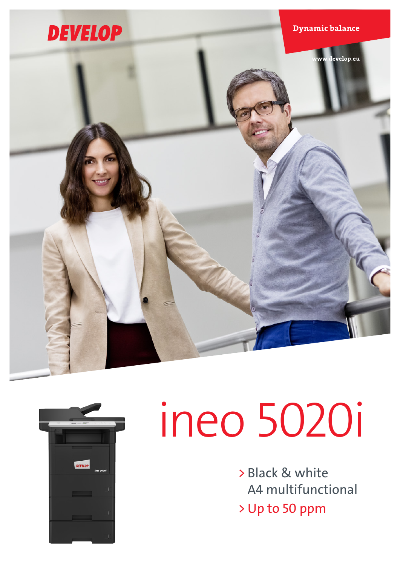



# ineo 5020i

> Black & white A4 multifunctional > Up to 50 ppm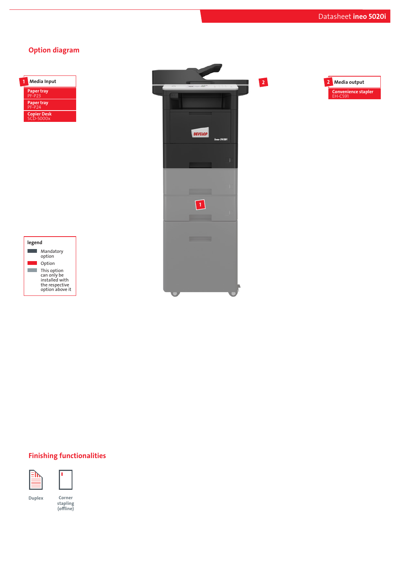## Option diagram

| Media Input                             |
|-----------------------------------------|
| <b>Paper tray</b><br>PF-P <sub>23</sub> |
| <b>Paper tray</b><br>$PF- P24$          |
| <b>Copier Desk</b><br>$SCD-5000x$       |







## Finishing functionalities





Duplex Corner

stapling (offline)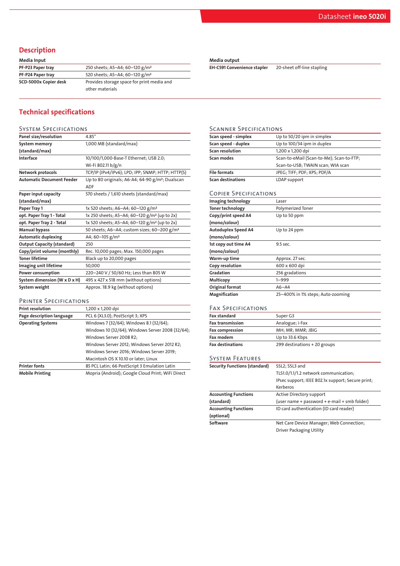## Description

| Media Input           |                                            |
|-----------------------|--------------------------------------------|
| PF-P23 Paper tray     | 250 sheets; A5-A4; 60-120 g/m <sup>2</sup> |
| PF-P24 Paper tray     | 520 sheets; A5-A4; 60-120 g/m <sup>2</sup> |
| SCD-5000x Copier desk | Provides storage space for print media and |
|                       | other materials                            |
|                       |                                            |

# Technical specifications

| <b>SYSTEM SPECIFICATIONS</b>      |                                                                            |
|-----------------------------------|----------------------------------------------------------------------------|
| Panel size/resolution             | 4.85"                                                                      |
| System memory                     | 1,000 MB (standard/max)                                                    |
| (standard/max)                    |                                                                            |
| Interface                         | 10/100/1,000-Base-T Ethernet; USB 2.0;                                     |
|                                   | Wi-Fi 802.11 b/g/n                                                         |
| Network protocols                 | TCP/IP (IPv4/IPv6); LPD; IPP; SNMP; HTTP; HTTP(S)                          |
| <b>Automatic Document Feeder</b>  | Up to 80 originals; A6-A4; 64-90 g/m <sup>2</sup> ; Dualscan<br><b>ADF</b> |
| Paper input capacity              | 570 sheets / 1,610 sheets (standard/max)                                   |
| (standard/max)                    |                                                                            |
| Paper Tray 1                      | 1x 520 sheets; A6-A4; 60-120 g/m <sup>2</sup>                              |
| opt. Paper Tray 1 - Total         | 1x 250 sheets; A5-A4; 60-120 g/m <sup>2</sup> (up to 2x)                   |
| opt. Paper Tray 2 - Total         | 1x 520 sheets; A5-A4; 60-120 g/m <sup>2</sup> (up to 2x)                   |
| <b>Manual bypass</b>              | 50 sheets; A6-A4; custom sizes; 60-200 g/m <sup>2</sup>                    |
| <b>Automatic duplexing</b>        | A4; 60-105 g/m <sup>2</sup>                                                |
| <b>Output Capacity (standard)</b> | 250                                                                        |
| Copy/print volume (monthly)       | Rec. 10,000 pages; Max. 150,000 pages                                      |
| <b>Toner lifetime</b>             | Black up to 20,000 pages                                                   |
| Imaging unit lifetime             | 50,000                                                                     |
| Power consumption                 | 220-240 V / 50/60 Hz; Less than 805 W                                      |
| System dimension (W x D x H)      | 495 x 427 x 518 mm (without options)                                       |
| System weight                     | Approx. 18.9 kg (without options)                                          |

#### Printer Specifications

| <b>Print resolution</b>   | 1,200 x 1,200 dpi                                 |  |
|---------------------------|---------------------------------------------------|--|
| Page description language | PCL 6 (XL3.0); PostScript 3; XPS                  |  |
| <b>Operating Systems</b>  | Windows 7 (32/64); Windows 8.1 (32/64);           |  |
|                           | Windows 10 (32/64); Windows Server 2008 (32/64);  |  |
|                           | Windows Server 2008 R2;                           |  |
|                           | Windows Server 2012; Windows Server 2012 R2;      |  |
|                           | Windows Server 2016; Windows Server 2019;         |  |
|                           | Macintosh OS X 10.10 or later; Linux              |  |
| <b>Printer fonts</b>      | 85 PCL Latin; 66 PostScript 3 Emulation Latin     |  |
| <b>Mobile Printing</b>    | Mopria (Android); Google Cloud Print; WiFi Direct |  |

#### Media output

EH-C591 Convenience stapler 20-sheet off-line stapling

#### Scanner Specifications

| Scan speed - simplex     | Up to 50/20 ipm in simplex               |
|--------------------------|------------------------------------------|
| Scan speed - duplex      | Up to 100/34 ipm in duplex               |
| <b>Scan resolution</b>   | 1,200 x 1,200 dpi                        |
| Scan modes               | Scan-to-eMail (Scan-to-Me); Scan-to-FTP; |
|                          | Scan-to-USB; TWAIN scan; WIA scan        |
| <b>File formats</b>      | JPEG; TIFF; PDF; XPS; PDF/A              |
| <b>Scan destinations</b> | LDAP support                             |

### Copier Specifications

| Imaging technology         | Laser                             |
|----------------------------|-----------------------------------|
| <b>Toner technology</b>    | <b>Polymerized Toner</b>          |
| Copy/print speed A4        | Up to 50 ppm                      |
| (mono/colour)              |                                   |
| <b>Autoduplex Speed A4</b> | Up to 24 ppm                      |
| (mono/colour)              |                                   |
| 1st copy out time A4       | 9.5 sec.                          |
| (mono/colour)              |                                   |
| Warm-up time               | Approx. 27 sec.                   |
| Copy resolution            | 600 x 600 dpi                     |
| Gradation                  | 256 gradations                    |
| Multicopy                  | $1 - 999$                         |
| Original format            | $A6 - A4$                         |
| Magnification              | 25-400% in 1% steps; Auto-zooming |

## Fax Specifications

| Fax standard            | Super G3                     |
|-------------------------|------------------------------|
| <b>Fax transmission</b> | Analogue; i-Fax              |
| Fax compression         | MH; MR; MMR; JBIG            |
| Fax modem               | Up to 33.6 Kbps              |
| <b>Fax destinations</b> | 299 destinations + 20 groups |

## System Features

| <b>Security Functions (standard)</b> | SSL2; SSL3 and                                    |  |
|--------------------------------------|---------------------------------------------------|--|
|                                      | TLS1.0/1.1/1.2 network communication;             |  |
|                                      | IPsec support; IEEE 802.1x support; Secure print; |  |
|                                      | Kerberos                                          |  |
| <b>Accounting Functions</b>          | Active Directory support                          |  |
| (standard)                           | (user name + password + e-mail + smb folder)      |  |
| <b>Accounting Functions</b>          | ID card authentication (ID card reader)           |  |
| (optional)                           |                                                   |  |
| Software                             | Net Care Device Manager; Web Connection;          |  |
|                                      | <b>Driver Packaging Utility</b>                   |  |